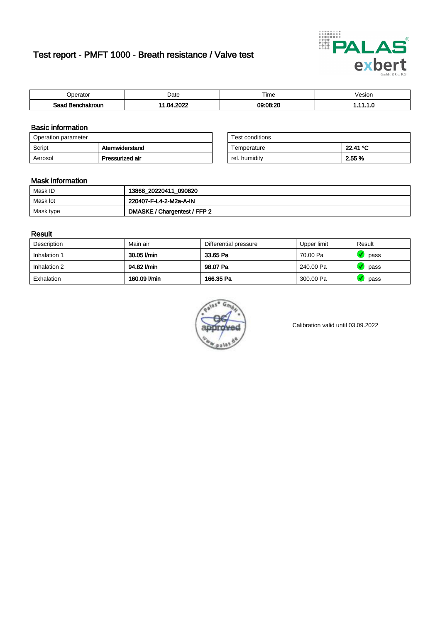# Test report - PMFT 1000 - Breath resistance / Valve test



| )perator               | Date            | $- \cdot$<br>Гіmе | esion |
|------------------------|-----------------|-------------------|-------|
| המס<br>hakroun<br>32 H | 000<br>-m.<br>. | 09:08:20          | .     |

### Basic information

| Operation parameter |                 | Test conditions |          |
|---------------------|-----------------|-----------------|----------|
| Script              | Atemwiderstand  | Temperature     | 22.41 °C |
| Aerosol             | Pressurized air | rel. humidity   | 2.55 %   |

| Test conditions |          |
|-----------------|----------|
| Temperature     | 22.41 °C |
| rel. humidity   | 2.55 %   |

#### Mask information

| Mask ID   | 13868_20220411_090820        |
|-----------|------------------------------|
| Mask lot  | 220407-F-L4-2-M2a-A-IN       |
| Mask type | DMASKE / Chargentest / FFP 2 |

### Result

| Description  | Main air     | Differential pressure | Upper limit | Result |
|--------------|--------------|-----------------------|-------------|--------|
| Inhalation 1 | 30.05 l/min  | 33.65 Pa              | 70.00 Pa    | pass   |
| Inhalation 2 | 94.82 l/min  | 98.07 Pa              | 240.00 Pa   | pass   |
| Exhalation   | 160.09 l/min | 166.35 Pa             | 300.00 Pa   | pass   |



Calibration valid until 03.09.2022